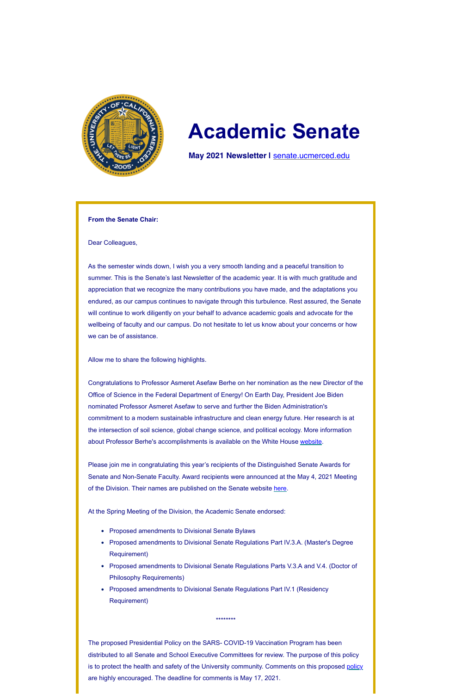

# **Academic Senate**

**May 2021 Newsletter |** [senate.ucmerced.edu](http://senate.ucmerced.edu/)

#### **From the Senate Chair:**

Dear Colleagues,

As the semester winds down, I wish you a very smooth landing and a peaceful transition to summer. This is the Senate's last Newsletter of the academic year. It is with much gratitude and appreciation that we recognize the many contributions you have made, and the adaptations you endured, as our campus continues to navigate through this turbulence. Rest assured, the Senate will continue to work diligently on your behalf to advance academic goals and advocate for the wellbeing of faculty and our campus. Do not hesitate to let us know about your concerns or how we can be of assistance.

Please join me in congratulating this year's recipients of the Distinguished Senate Awards for Senate and Non-Senate Faculty. Award recipients were announced at the May 4, 2021 Meeting of the Division. Their names are published on the Senate website [here.](https://senate.ucmerced.edu/senate_awards)

Allow me to share the following highlights.

Congratulations to Professor Asmeret Asefaw Berhe on her nomination as the new Director of the Office of Science in the Federal Department of Energy! On Earth Day, President Joe Biden nominated Professor Asmeret Asefaw to serve and further the Biden Administration's commitment to a modern sustainable infrastructure and clean energy future. Her research is at the intersection of soil science, global change science, and political ecology. More information about Professor Berhe's accomplishments is available on the White House [website.](https://www.whitehouse.gov/briefing-room/statements-releases/2021/04/22/president-biden-announces-12-key-climate-and-infrastructure-administration-nominations/)

At the Spring Meeting of the Division, the Academic Senate endorsed:

- Proposed amendments to Divisional Senate Bylaws
- Proposed amendments to Divisional Senate Regulations Part IV.3.A. (Master's Degree Requirement)
- Proposed amendments to Divisional Senate Regulations Parts V.3.A and V.4. (Doctor of Philosophy Requirements)
- Proposed amendments to Divisional Senate Regulations Part IV.1 (Residency Requirement)

\*\*\*\*\*\*\*\*

The proposed Presidential Policy on the SARS- COVID-19 Vaccination Program has been distributed to all Senate and School Executive Committees for review. The purpose of this policy is to protect the health and safety of the University community. Comments on this proposed [policy](https://ucmerced.box.com/s/84w8k1hu0351ipotzbammixvbz6b5rha) are highly encouraged. The deadline for comments is May 17, 2021.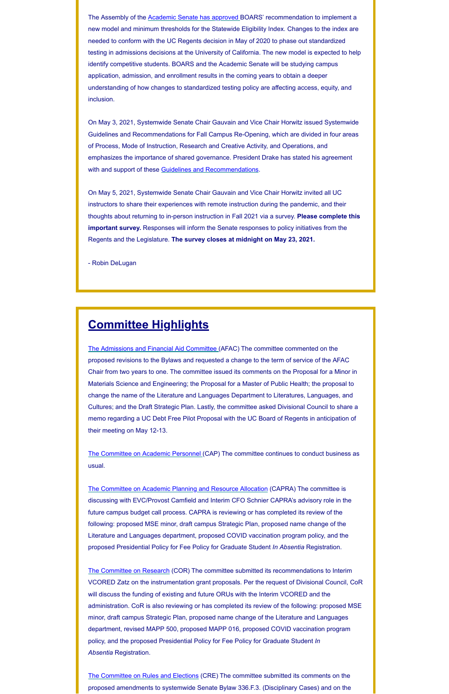The Assembly of the [Academic Senate has approved B](https://ucmerced.box.com/s/mcaowj2a8kl78hd14wlggs8m485vzwws)OARS' recommendation to implement a new model and minimum thresholds for the Statewide Eligibility Index. Changes to the index are needed to conform with the UC Regents decision in May of 2020 to phase out standardized testing in admissions decisions at the University of California. The new model is expected to help identify competitive students. BOARS and the Academic Senate will be studying campus application, admission, and enrollment results in the coming years to obtain a deeper understanding of how changes to standardized testing policy are affecting access, equity, and inclusion.

On May 3, 2021, Systemwide Senate Chair Gauvain and Vice Chair Horwitz issued Systemwide Guidelines and Recommendations for Fall Campus Re-Opening, which are divided in four areas of Process, Mode of Instruction, Research and Creative Activity, and Operations, and emphasizes the importance of shared governance. President Drake has stated his agreement with and support of these [Guidelines and Recommendations.](https://ucmerced.box.com/s/fzkr4qzb5evbkngeea1t9s5m1vsg3guz)

On May 5, 2021, Systemwide Senate Chair Gauvain and Vice Chair Horwitz invited all UC instructors to share their experiences with remote instruction during the pandemic, and their thoughts about returning to in-person instruction in Fall 2021 via a survey. **Please complete this important survey.** Responses will inform the Senate responses to policy initiatives from the Regents and the Legislature. **The survey closes at midnight on May 23, 2021.**

- Robin DeLugan

## **Committee Highlights**

[The Admissions and Financial Aid Committee](https://senate.ucmerced.edu/AFAC) (AFAC) The committee commented on the proposed revisions to the Bylaws and requested a change to the term of service of the AFAC Chair from two years to one. The committee issued its comments on the Proposal for a Minor in Materials Science and Engineering; the Proposal for a Master of Public Health; the proposal to change the name of the Literature and Languages Department to Literatures, Languages, and Cultures; and the Draft Strategic Plan. Lastly, the committee asked Divisional Council to share a memo regarding a UC Debt Free Pilot Proposal with the UC Board of Regents in anticipation of their meeting on May 12-13.

[The Committee on Academic Personnel](https://senate.ucmerced.edu/CAP) (CAP) The committee continues to conduct business as usual.

[The Committee on Academic Planning and Resource Allocation](https://senate.ucmerced.edu/CAPRA) (CAPRA) The committee is discussing with EVC/Provost Camfield and Interim CFO Schnier CAPRA's advisory role in the future campus budget call process. CAPRA is reviewing or has completed its review of the following: proposed MSE minor, draft campus Strategic Plan, proposed name change of the Literature and Languages department, proposed COVID vaccination program policy, and the proposed Presidential Policy for Fee Policy for Graduate Student *In Absentia* Registration.

[The Committee on Research](https://senate.ucmerced.edu/COR) (COR) The committee submitted its recommendations to Interim VCORED Zatz on the instrumentation grant proposals. Per the request of Divisional Council, CoR will discuss the funding of existing and future ORUs with the Interim VCORED and the administration. CoR is also reviewing or has completed its review of the following: proposed MSE minor, draft campus Strategic Plan, proposed name change of the Literature and Languages department, revised MAPP 500, proposed MAPP 016, proposed COVID vaccination program policy, and the proposed Presidential Policy for Fee Policy for Graduate Student *In Absentia* Registration.

[The Committee on Rules and Elections](https://senate.ucmerced.edu/CRE) (CRE) The committee submitted its comments on the proposed amendments to systemwide Senate Bylaw 336.F.3. (Disciplinary Cases) and on the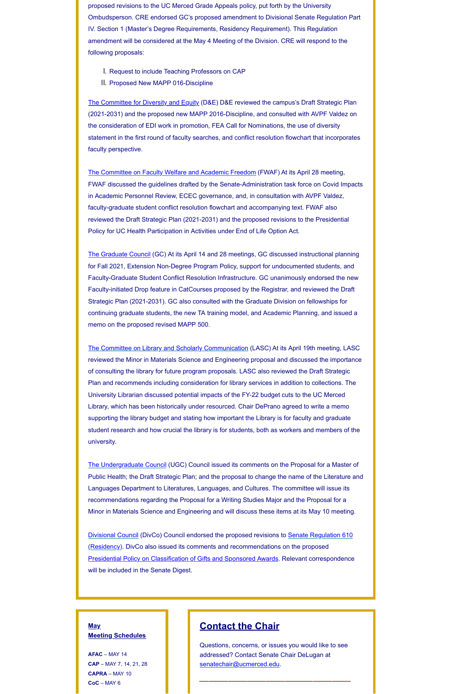proposed revisions to the UC Merced Grade Appeals policy, put forth by the University Ombudsperson. CRE endorsed GC's proposed amendment to Divisional Senate Regulation Part IV. Section 1 (Master's Degree Requirements, Residency Requirement). This Regulation amendment will be considered at the May 4 Meeting of the Division. CRE will respond to the following proposals:

- I. Request to include Teaching Professors on CAP
- II. Proposed New MAPP 016-Discipline

[The Committee for Diversity and Equity](https://senate.ucmerced.edu/DE) (D&E) D&E reviewed the campus's Draft Strategic Plan (2021-2031) and the proposed new MAPP 2016-Discipline, and consulted with AVPF Valdez on the consideration of EDI work in promotion, FEA Call for Nominations, the use of diversity statement in the first round of faculty searches, and conflict resolution flowchart that incorporates faculty perspective.

[The Committee on Faculty Welfare and Academic Freedom](https://senate.ucmerced.edu/FWAF) (FWAF) At its April 28 meeting, FWAF discussed the guidelines drafted by the Senate-Administration task force on Covid Impacts in Academic Personnel Review, ECEC governance, and, in consultation with AVPF Valdez, faculty-graduate student conflict resolution flowchart and accompanying text. FWAF also reviewed the Draft Strategic Plan (2021-2031) and the proposed revisions to the Presidential Policy for UC Health Participation in Activities under End of Life Option Act.

[The Graduate Council](https://senate.ucmerced.edu/GC) (GC) At its April 14 and 28 meetings, GC discussed instructional planning for Fall 2021, Extension Non-Degree Program Policy, support for undocumented students, and Faculty-Graduate Student Conflict Resolution Infrastructure. GC unanimously endorsed the new Faculty-initiated Drop feature in CatCourses proposed by the Registrar, and reviewed the Draft Strategic Plan (2021-2031). GC also consulted with the Graduate Division on fellowships for continuing graduate students, the new TA training model, and Academic Planning, and issued a memo on the proposed revised MAPP 500.

[The Committee on Library and Scholarly Communication](https://senate.ucmerced.edu/LASC) (LASC) At its April 19th meeting, LASC reviewed the Minor in Materials Science and Engineering proposal and discussed the importance of consulting the library for future program proposals. LASC also reviewed the Draft Strategic Plan and recommends including consideration for library services in addition to collections. The University Librarian discussed potential impacts of the FY-22 budget cuts to the UC Merced Library, which has been historically under resourced. Chair DePrano agreed to write a memo supporting the library budget and stating how important the Library is for faculty and graduate student research and how crucial the library is for students, both as workers and members of the university.

[The Undergraduate Council](https://senate.ucmerced.edu/UGC) (UGC) Council issued its comments on the Proposal for a Master of Public Health; the Draft Strategic Plan; and the proposal to change the name of the Literature and Languages Department to Literatures, Languages, and Cultures. The committee will issue its recommendations regarding the Proposal for a Writing Studies Major and the Proposal for a

Minor in Materials Science and Engineering and will discuss these items at its May 10 meeting.

[Divisional Council](https://senate.ucmerced.edu/DivCo) [\(DivCo\) Council endorsed the proposed revisions to Senate Regulation 610](https://senate.universityofcalifornia.edu/_files/underreview/senate-regulation-610-residency-review.pdf) (Residency). DivCo also issued its comments and recommendations on the proposed [Presidential Policy on Classification of Gifts and Sponsored Awards.](https://senate.universityofcalifornia.edu/_files/underreview/revised-policy-classification-of-gifts-and-sponsored-awards.pdf) Relevant correspondence will be included in the Senate Digest.

**May Meeting Schedules**

**AFAC** – MAY 14 **CAP** – MAY 7, 14, 21, 28 **CAPRA** – MAY 10 **CoC** – MAY 6

### **Contact the Chair**

Questions, concerns, or issues you would like to see addressed? Contact Senate Chair DeLugan at [senatechair@ucmerced.edu](http://senatechair@ucmerced.edu/). **\_\_\_\_\_\_\_\_\_\_\_\_\_\_\_\_**